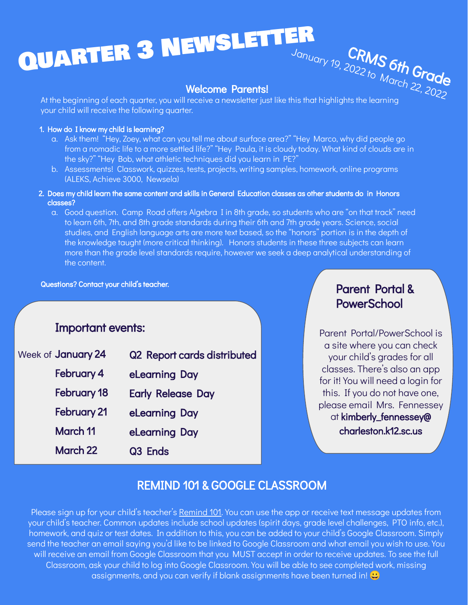# QUARTER 3 NEWSLETTER January 19, 2022 to March 22, 2022

#### Welcome Parents!

At the beginning of each quarter, you will receive a newsletter just like this that highlights the learning your child will receive the following quarter.

#### 1. How do I know my child is learning?

- a. Ask them! "Hey, Zoey, what can you tell me about surface area?" "Hey Marco, why did people go from a nomadic life to a more settled life?" "Hey Paula, it is cloudy today. What kind of clouds are in the sky?" "Hey Bob, what athletic techniques did you learn in PE?"
- b. Assessments! Classwork, quizzes, tests, projects, writing samples, homework, online programs (ALEKS, Achieve 3000, Newsela)
- 2. Does my child learn the same content and skills in General Education classes as other students do in Honors classes?
	- a. Good question. Camp Road offers Algebra I in 8th grade, so students who are "on that track" need to learn 6th, 7th, and 8th grade standards during their 6th and 7th grade years. Science, social studies, and English language arts are more text based, so the "honors" portion is in the depth of the knowledge taught (more critical thinking). Honors students in these three subjects can learn more than the grade level standards require, however we seek a deep analytical understanding of the content.

Questions? Contact your child's teacher. The experiment of the extension of the **Parent Portal &** 

#### Important events:

| Week of January 24 | Q2 Report cards distributed |
|--------------------|-----------------------------|
| February 4         | eLearning Day               |
| <b>February 18</b> | <b>Early Release Day</b>    |
| <b>February 21</b> | eLearning Day               |
| March 11           | eLearning Day               |
| <b>March 22</b>    | Q <sub>3</sub> Ends         |

## **PowerSchool**

Parent Portal/PowerSchool is a site where you can check your child's grades for all classes. There's also an app for it! You will need a login for this. If you do not have one, please email Mrs. Fennessey at kimberly\_fennessey@ charleston.k12.sc.us

### REMIND 101 & GOOGLE CLASSROOM

Please sign up for your child's teacher's [Remind 101.](https://docs.google.com/document/d/1s853RgOB9KkPU8PA2CTDaXIBZhHZ4T9Mobh2j2-w5m8/edit?usp=sharing) You can use the app or receive text message updates from your child's teacher. Common updates include school updates (spirit days, grade level challenges, PTO info, etc.), homework, and quiz or test dates. In addition to this, you can be added to your child's Google Classroom. Simply send the teacher an email saying you'd like to be linked to Google Classroom and what email you wish to use. You will receive an email from Google Classroom that you MUST accept in order to receive updates. To see the full Classroom, ask your child to log into Google Classroom. You will be able to see completed work, missing assignments, and you can verify if blank assignments have been turned in!